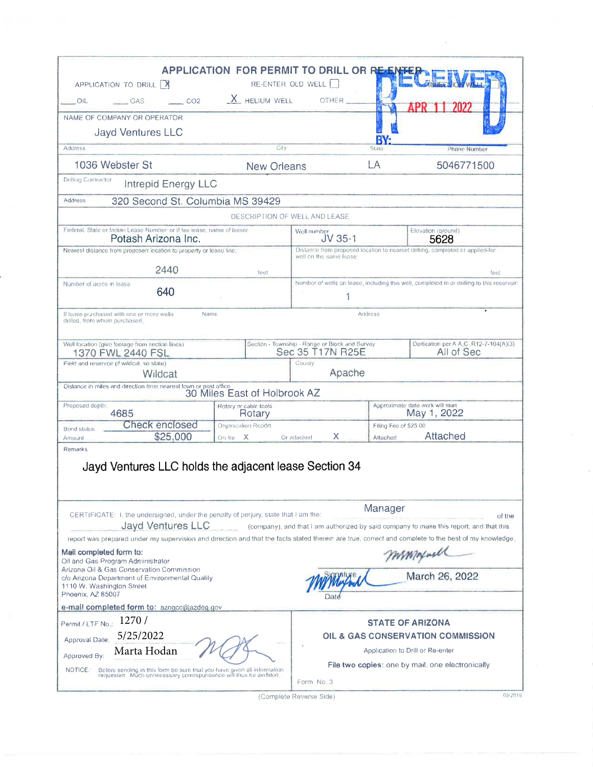| APPLICATION TO DRILL   X<br>CO <sub>2</sub><br>OIL.<br>GAS                                                                                                                                                                                                                                                                                                                                                                                          | <b>APPLICATION FOR PERMIT TO DRILL OR RE-EN</b><br>$X$ HELIUM WELL                                       | RE-ENTER OLD WELL<br>OTHER                                         |                                                 |                                                     |  |  |  |  |  |  |  |
|-----------------------------------------------------------------------------------------------------------------------------------------------------------------------------------------------------------------------------------------------------------------------------------------------------------------------------------------------------------------------------------------------------------------------------------------------------|----------------------------------------------------------------------------------------------------------|--------------------------------------------------------------------|-------------------------------------------------|-----------------------------------------------------|--|--|--|--|--|--|--|
| NAME OF COMPANY OR OPERATOR                                                                                                                                                                                                                                                                                                                                                                                                                         |                                                                                                          |                                                                    |                                                 |                                                     |  |  |  |  |  |  |  |
| <b>Jayd Ventures LLC</b>                                                                                                                                                                                                                                                                                                                                                                                                                            |                                                                                                          |                                                                    |                                                 |                                                     |  |  |  |  |  |  |  |
|                                                                                                                                                                                                                                                                                                                                                                                                                                                     |                                                                                                          |                                                                    |                                                 |                                                     |  |  |  |  |  |  |  |
| Address                                                                                                                                                                                                                                                                                                                                                                                                                                             | City                                                                                                     |                                                                    | State                                           | Phone Number                                        |  |  |  |  |  |  |  |
| 1036 Webster St                                                                                                                                                                                                                                                                                                                                                                                                                                     | <b>New Orleans</b>                                                                                       |                                                                    | LA                                              | 5046771500                                          |  |  |  |  |  |  |  |
| <b>Drilling Confractor</b><br><b>Intrepid Energy LLC</b>                                                                                                                                                                                                                                                                                                                                                                                            |                                                                                                          |                                                                    |                                                 |                                                     |  |  |  |  |  |  |  |
| 320 Second St. Columbia MS 39429<br>Address                                                                                                                                                                                                                                                                                                                                                                                                         |                                                                                                          |                                                                    |                                                 |                                                     |  |  |  |  |  |  |  |
| DESCRIPTION OF WELL AND LEASE                                                                                                                                                                                                                                                                                                                                                                                                                       |                                                                                                          |                                                                    |                                                 |                                                     |  |  |  |  |  |  |  |
| Federal. State or Indian Lease Number, or if fee lease, name of lessor<br>Potash Arizona Inc.                                                                                                                                                                                                                                                                                                                                                       | Weil number<br>$JV$ 35-1                                                                                 | Elevation (ground)<br>5628                                         |                                                 |                                                     |  |  |  |  |  |  |  |
| Nearest distance from proposed location to property or lease line.                                                                                                                                                                                                                                                                                                                                                                                  | Distance from proposed location to nearset drilling, completed or applied-for<br>well on the same lease: |                                                                    |                                                 |                                                     |  |  |  |  |  |  |  |
| 2440                                                                                                                                                                                                                                                                                                                                                                                                                                                | feet                                                                                                     |                                                                    |                                                 | feet                                                |  |  |  |  |  |  |  |
| Number of acres in lease<br>640                                                                                                                                                                                                                                                                                                                                                                                                                     | Number of wells on lease, including this well, completed in or drilling to this reservoir:               |                                                                    |                                                 |                                                     |  |  |  |  |  |  |  |
| If lease purchased with one or more wells<br>Address<br>Name<br>drilled, from whom purchased.                                                                                                                                                                                                                                                                                                                                                       |                                                                                                          |                                                                    |                                                 |                                                     |  |  |  |  |  |  |  |
| Well location (give footage from section lines)<br>1370 FWL 2440 FSL                                                                                                                                                                                                                                                                                                                                                                                |                                                                                                          | Section - Township - Range or Block and Survey<br>Sec 35 T17N R25E |                                                 | Dedication per A A.C. R12-7-104(A)(3)<br>All of Sec |  |  |  |  |  |  |  |
| Field and reservoir (if wildcat, so state)<br>Wildcat                                                                                                                                                                                                                                                                                                                                                                                               |                                                                                                          | County<br>Apache                                                   |                                                 |                                                     |  |  |  |  |  |  |  |
| Distance in miles and direction from nearest town or post office.                                                                                                                                                                                                                                                                                                                                                                                   |                                                                                                          |                                                                    |                                                 |                                                     |  |  |  |  |  |  |  |
|                                                                                                                                                                                                                                                                                                                                                                                                                                                     | 30 Miles East of Holbrook AZ                                                                             |                                                                    |                                                 |                                                     |  |  |  |  |  |  |  |
| Proposed depth:<br>4685                                                                                                                                                                                                                                                                                                                                                                                                                             | Rotary or cable tools<br>Rotary                                                                          |                                                                    | Approximate date work will start<br>May 1, 2022 |                                                     |  |  |  |  |  |  |  |
| Check enclosed<br><b>Bond status</b>                                                                                                                                                                                                                                                                                                                                                                                                                | Organization Report                                                                                      |                                                                    | Filing Fee of \$25.00                           |                                                     |  |  |  |  |  |  |  |
| \$25,000<br>Amount                                                                                                                                                                                                                                                                                                                                                                                                                                  | On file X                                                                                                | x<br>Or attached                                                   | Attached                                        | Attached                                            |  |  |  |  |  |  |  |
| Remarks<br>Jayd Ventures LLC holds the adjacent lease Section 34<br>Manager<br>CERTIFICATE: I, the undersigned, under the penalty of perjury, state that I am the:<br>of the<br>Jayd Ventures LLC<br>(company), and that I am authorized by said company to make this report, and that this<br>report was prepared under my supervision and direction and that the facts stated therein are true, correct and complete to the best of my knowledge. |                                                                                                          |                                                                    |                                                 |                                                     |  |  |  |  |  |  |  |
| Mail completed form to:                                                                                                                                                                                                                                                                                                                                                                                                                             |                                                                                                          |                                                                    |                                                 |                                                     |  |  |  |  |  |  |  |
| Oil and Gas Program Administrator<br>Arizona Oil & Gas Conservation Commission<br>c/o Arizona Department of Environmental Quality<br>1110 W. Washington Street<br>Phoenix, AZ 85007                                                                                                                                                                                                                                                                 |                                                                                                          |                                                                    |                                                 | mmmmmm<br>March 26, 2022                            |  |  |  |  |  |  |  |
| e-mail completed form to: azogcc@azdeg.gov                                                                                                                                                                                                                                                                                                                                                                                                          |                                                                                                          |                                                                    |                                                 |                                                     |  |  |  |  |  |  |  |
| Permit / LTF No.: 1270 /                                                                                                                                                                                                                                                                                                                                                                                                                            |                                                                                                          |                                                                    |                                                 | <b>STATE OF ARIZONA</b>                             |  |  |  |  |  |  |  |
| Approval Date: 5/25/2022                                                                                                                                                                                                                                                                                                                                                                                                                            |                                                                                                          | OIL & GAS CONSERVATION COMMISSION                                  |                                                 |                                                     |  |  |  |  |  |  |  |
| Marta Hodan<br>Application to Drill or Re-enter                                                                                                                                                                                                                                                                                                                                                                                                     |                                                                                                          |                                                                    |                                                 |                                                     |  |  |  |  |  |  |  |
| Approved By:<br>File two copies: one by mail, one electronically<br>NOTICE.<br>Before sending in this form be sure that you have given all information<br>requested. Much unnecessary correspondence will thus be avinded.<br>Form No. 3                                                                                                                                                                                                            |                                                                                                          |                                                                    |                                                 |                                                     |  |  |  |  |  |  |  |

(Complete Reverse Side)

 $03/2018$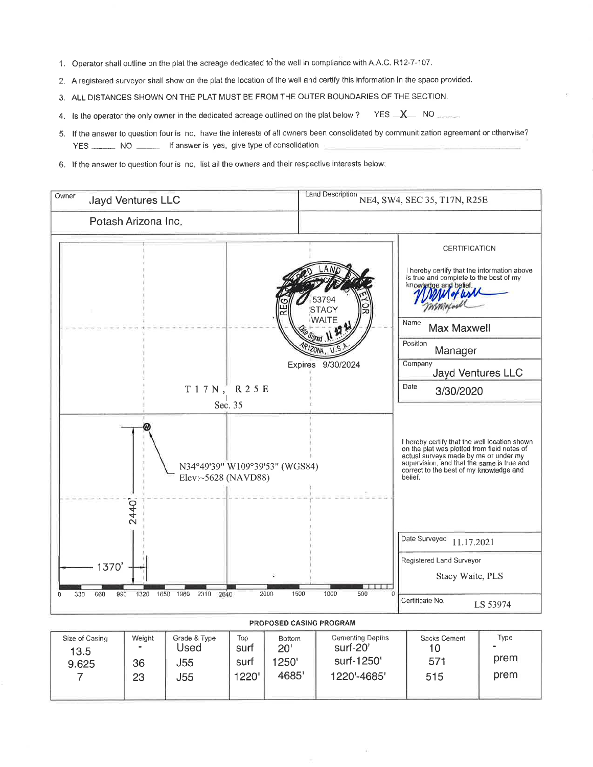- 1. Operator shall outline on the plat the acreage dedicated to the well in compliance with A.A.C. R12-7-107.
- 2. A registered surveyor shall show on the plat the location of the well and certify this information in the space provided.
- 3. ALL DISTANCES SHOWN ON THE PLAT MUST BE FROM THE OUTER BOUNDARIES OF THE SECTION.
- $YES$   $X$  NO 4. Is the operator the only owner in the dedicated acreage outlined on the plat below ?
- 5. If the answer to question four is no, have the interests of all owners been consolidated by communitization agreement or otherwise? YES \_\_\_\_\_\_\_\_ NO \_\_\_\_\_\_\_\_ If answer is yes, give type of consolidation
- 6. If the answer to question four is no, list all the owners and their respective interests below:



| <b>VILU VI VUUILIV</b><br>13.5 | $1.7 - 1.91 - 1.7$<br>$\,$ | $\sim$ $\sim$ $\sim$ $\sim$ $\sim$ $\sim$<br>Used | $-1$<br>surt  | $-$<br>20'     | $=$ $\frac{1}{2}$ $\frac{1}{2}$ $\frac{1}{2}$ $\frac{1}{2}$ $\frac{1}{2}$ $\frac{1}{2}$ $\frac{1}{2}$ $\frac{1}{2}$ $\frac{1}{2}$ $\frac{1}{2}$ $\frac{1}{2}$ $\frac{1}{2}$ $\frac{1}{2}$ $\frac{1}{2}$ $\frac{1}{2}$ $\frac{1}{2}$ $\frac{1}{2}$ $\frac{1}{2}$ $\frac{1}{2}$ $\frac{1}{2}$ $\frac{1}{2}$ $\frac{1}{2$<br>surf-20' | ---------------- | . . <b>.</b> .<br>$\blacksquare$<br>prem |
|--------------------------------|----------------------------|---------------------------------------------------|---------------|----------------|------------------------------------------------------------------------------------------------------------------------------------------------------------------------------------------------------------------------------------------------------------------------------------------------------------------------------------|------------------|------------------------------------------|
| 9.625                          | 36<br>23                   | J55<br><b>J55</b>                                 | surt<br>1220' | 1250'<br>4685' | surf-1250'<br>1220'-4685'                                                                                                                                                                                                                                                                                                          | 571<br>515       | prem                                     |
|                                |                            |                                                   |               |                |                                                                                                                                                                                                                                                                                                                                    |                  |                                          |